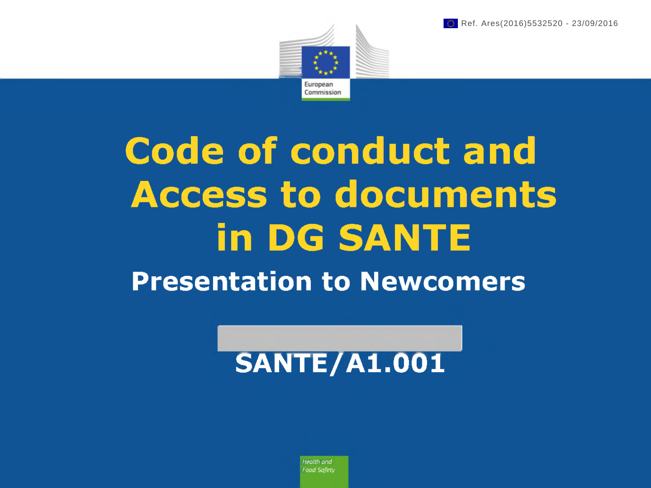



# **Code of conduct and Access to documents in DG SANTE Presentation to Newcomers**

## **SANTE/Al.001**

*Health and FoodSafety*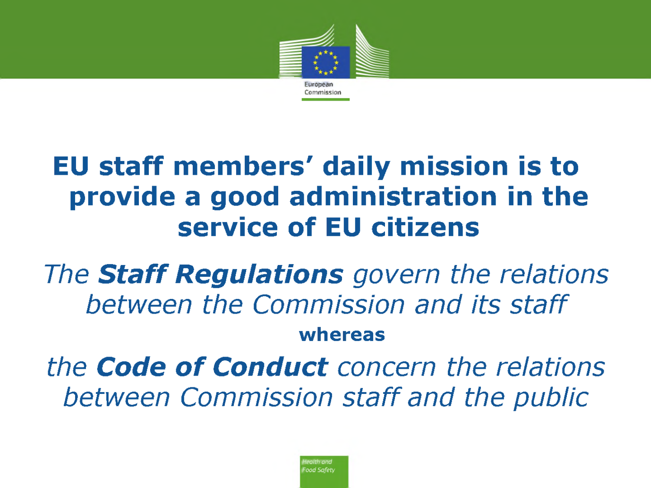

### **EU staff members' daily mission is to provide a good administration in the service of EU citizens**

*The Staff Regulations govern the relations between the Commission and Its staff* **whereas**

*the Code of Conduct concern the relations between Commission staff and the public*

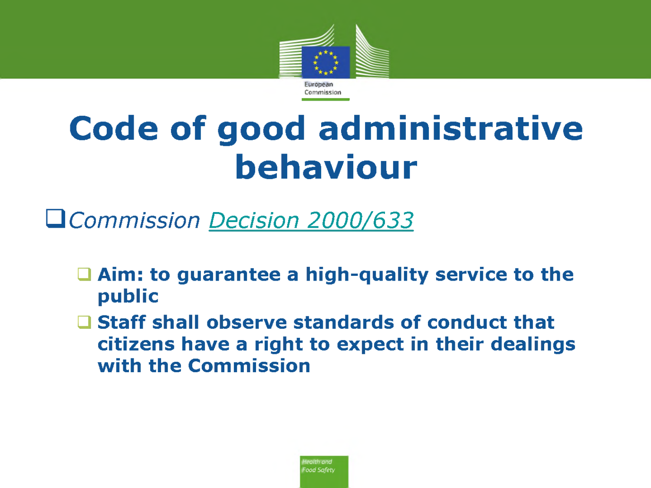

# **Code of good administrative behaviour**

*Commission Decision 2000/633*

- **Aim: to guarantee a high-quality service to the public**
- **Staff shall observe standards of conduct that citizens have a right to expect in their dealings with the Commission**

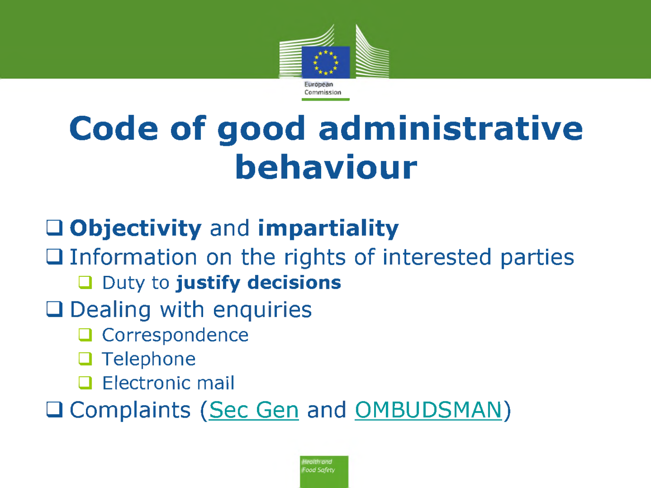

# **Code of good administrative behaviour**

#### **Objectivity** and **impartiality**

 $\Box$  Information on the rights of interested parties Duty to **justify decisions**

#### $\square$  Dealing with enquiries

- **Q** Correspondence
- $\Box$  Telephone
- $\Box$  Electronic mail

Q Complaints (Sec Gen and OMBUDSMAN)

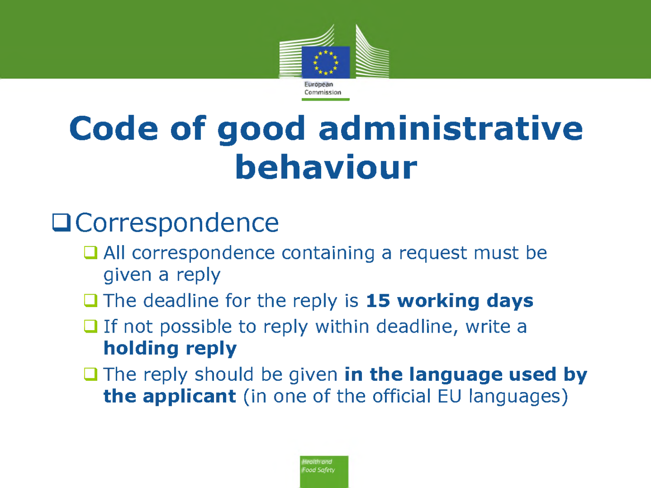

# **Code of good administrative behaviour**

#### **Q**Correspondence

- All correspondence containing a request must be given a reply
- The deadline for the reply is **15 working days**
- $\Box$  If not possible to reply within deadline, write a **holding reply**
- The reply should be given **in the language used by the applicant** (in one of the official EU languages)

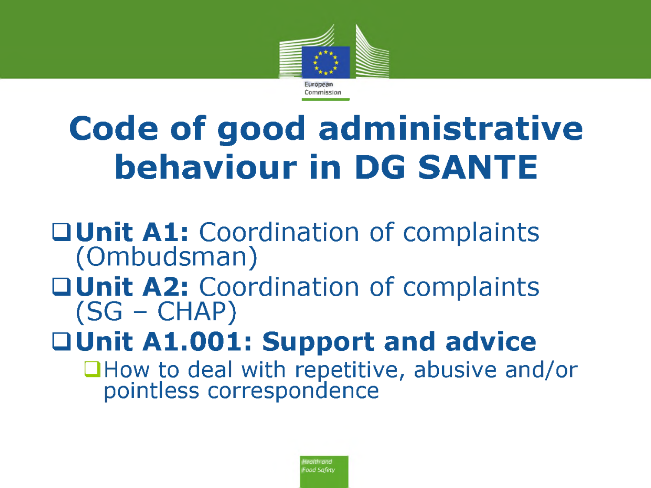

# **Code of good administrative behaviour in DG SANTE**

#### **QUnit A1: Coordination of complaints** (Ombudsman)

#### **Unit A2:** Coordination of complaints  $(SG - CHAP)$

## **Unit Al.001: Support and advice**

 $\Box$  How to deal with repetitive, abusive and/or pointless correspondence

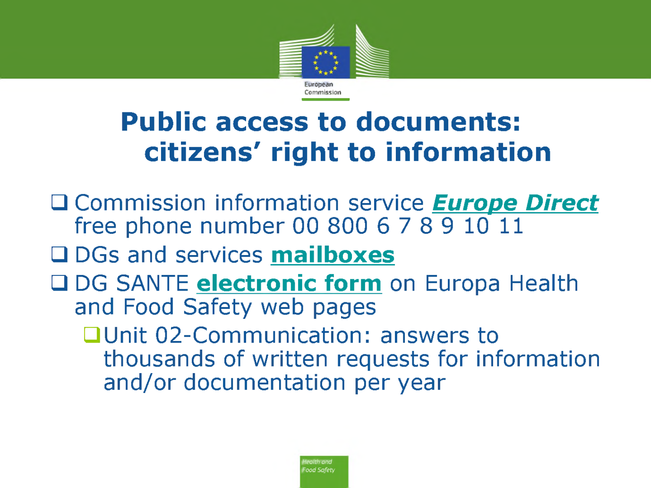

### **Public access to documents: citizens' right to information**

- Commission information service *Europe Direct* free phone number 00 800 6 7 8 9 10 11
- DGs and services **mailboxes**
- DG SANTE **electronic form** on Europa Health and Food Safety web pages
	- Unit 02-Communication: answers to thousands of written requests for information and/or documentation per year

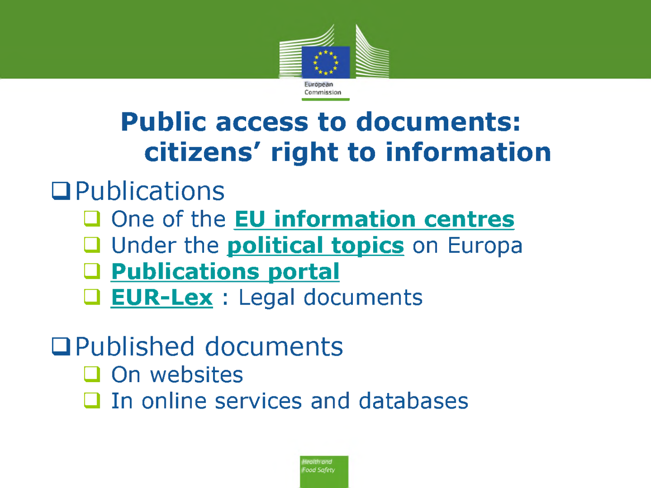

### **Public access to documents: citizens' right to information**

#### **Q**Publications

- One of the **EU information centres**
- Under the **political topics** on Europa
- **Publications portal**
- **EUR-Lex** : Legal documents

### Published documents

- $\Box$  On websites
- $\Box$  In online services and databases

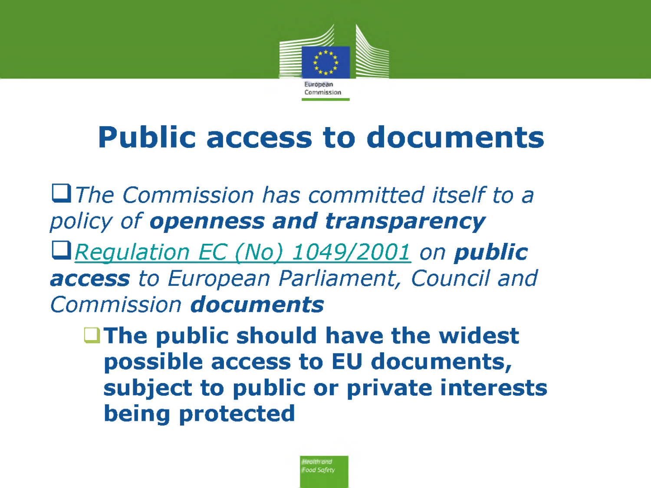

*The Commission has committed itself to a policy of openness and transparency Regulation EC (No) 1049/2001 on public access to European Parliament; Council and Commission documents*

*í* **The public should have the widest possible access to EU documents, subject to public or private interests being protected**

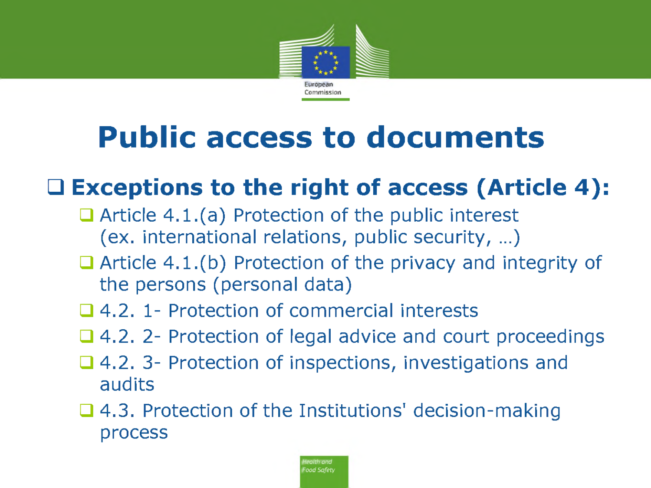

#### **Exceptions to the right of access (Article 4):**

- $\Box$  Article 4.1.(a) Protection of the public interest (ex. international relations, public security, ...)
- $\Box$  Article 4.1.(b) Protection of the privacy and integrity of the persons (personal data)
- **□ 4.2. 1- Protection of commercial interests**
- **□** 4.2. 2- Protection of legal advice and court proceedings
- **□ 4.2. 3- Protection of inspections, investigations and** audits
- **□ 4.3. Protection of the Institutions' decision-making** process

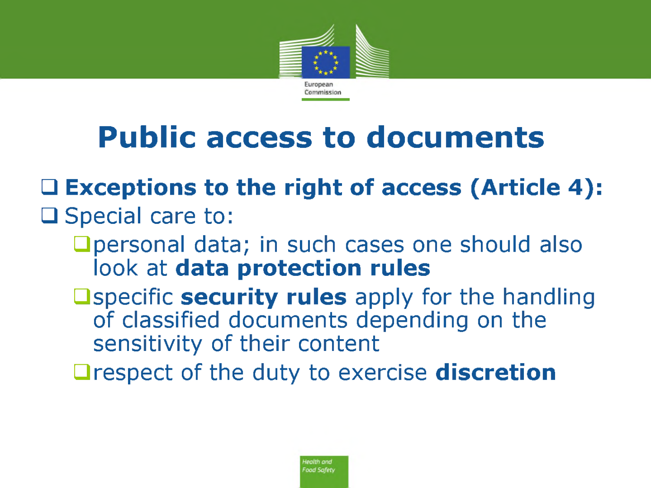

### **Exceptions to the right of access (Article 4):**

#### $\Box$  Special care to:

- personal data; in such cases one should also ook at **data protection rules**
- **Example 2** Specific **security rules** apply for the handling of classified documents depending on the sensitivity of their content

respect of the duty to exercise **discretion**

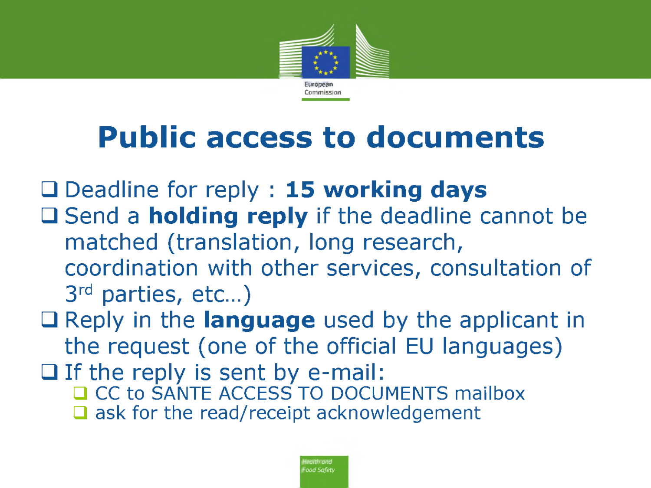

Deadline for reply : **15 working days**

- □ Send a **holding reply** if the deadline cannot be matched (translation, long research, coordination with other services, consultation of 3rd parties, etc...)
- Reply in the **language** used by the applicant in the request (one of the official EU languages)
- $\Box$  If the reply is sent by e-mail: CC to SANTE ACCESS TO DOCUMENTS mailbox  $\Box$  ask for the read/receipt acknowledgement

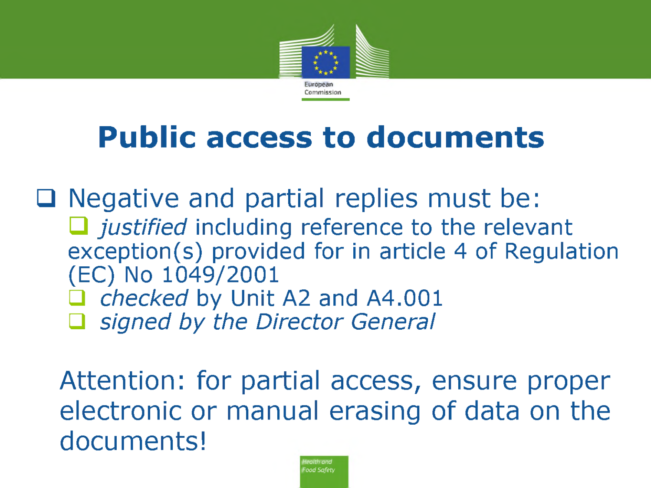

 $\Box$  Negative and partial replies must be: □ *justified* including reference to the relevant exception(s) provided for in article 4 of Regulation (EC) No 1049/2001 *checked* by Unit A2 and A4.001 *signed by the Director General*

Attention: for partial access, ensure proper electronic or manual erasing of data on the documents!

> *Health and Food Safety*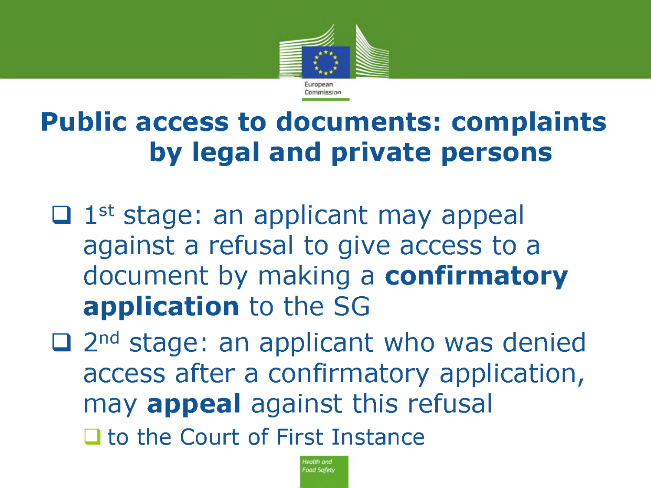

### **Public access to documents: complaints by legal and private persons**

- $\Box$  1<sup>st</sup> stage: an applicant may appeal against a refusal to give access to a document by making a **confirmatory application** to the SG
- $\Box$  2<sup>nd</sup> stage: an applicant who was denied access after a confirmatory application, may **appeal** against this refusal □ to the Court of First Instance

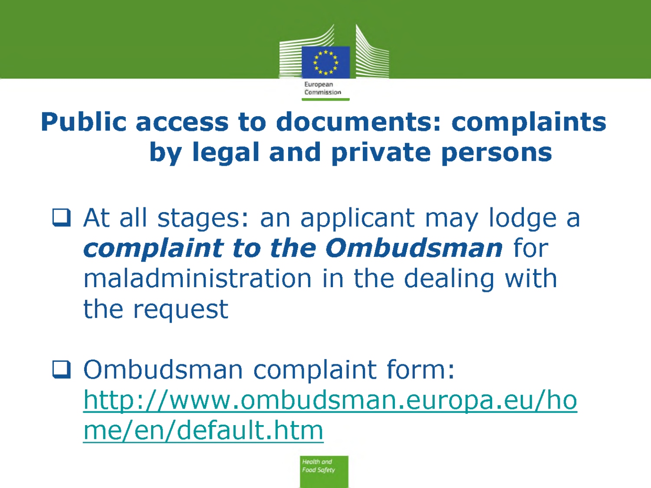

### **Public access to documents: complaints by legal and private persons**

■ At all stages: an applicant may lodge a *complaint to the Ombudsman* for maladministration in the dealing with the request

□ Ombudsman complaint form: <http://www.ombudsman.europa.eu/ho> me/en/default.htm

> lealth and ood Safety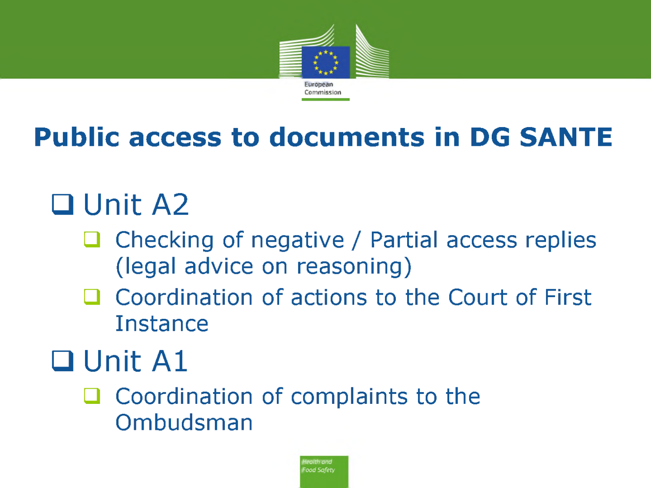

### **Public access to documents in DG SANTE**

# **Q** Unit A2

- $\Box$  Checking of negative / Partial access replies (legal advice on reasoning)
- □ Coordination of actions to the Court of First Instance

# **Q** Unit A1

 $\Box$  Coordination of complaints to the Ombudsman

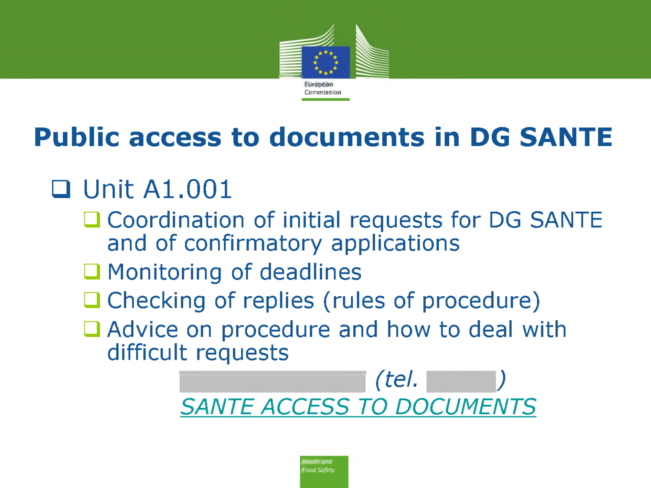

### **Public access to documents in DG SANTE**

### **Q** Unit A1.001

- □ Coordination of initial requests for DG SANTE and of confirmatory applications
- $\Box$  Monitoring of deadlines
- □ Checking of replies (rules of procedure)
- □ Advice on procedure and how to deal with difficult requests